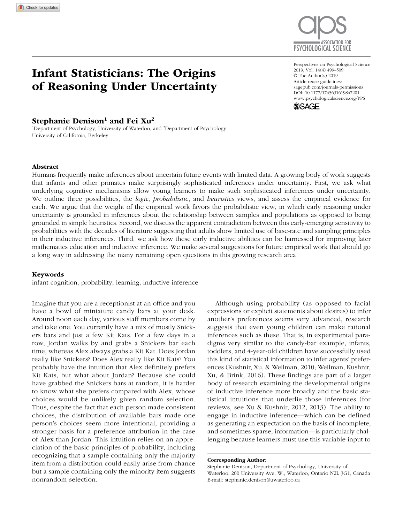# Infant Statisticians: The Origins of Reasoning Under Uncertainty

Stephanie Denison<sup>1</sup> and Fei  $Xu^2$ 

<sup>1</sup>Department of Psychology, University of Waterloo, and <sup>2</sup>Department of Psychology, University of California, Berkeley

# ASSOCIATION FOR PSYCHOLOGICAL SCIENCE

https://doi.org/10.1177/1745691619847201 DOI: 10.1177/1745691619847201 Perspectives on Psychological Science 2019, Vol. 14(4) 499–509 © The Author(s) 2019 Article reuse guidelines: [sagepub.com/journals-permissions](https://sagepub.com/journals-permissions) [www.psychologicalscience.org/PPS](http://www.psychologicalscience.org/pps)



#### Abstract

Humans frequently make inferences about uncertain future events with limited data. A growing body of work suggests that infants and other primates make surprisingly sophisticated inferences under uncertainty. First, we ask what underlying cognitive mechanisms allow young learners to make such sophisticated inferences under uncertainty. We outline three possibilities, the *logic, probabilistic*, and *heuristics* views, and assess the empirical evidence for each. We argue that the weight of the empirical work favors the probabilistic view, in which early reasoning under uncertainty is grounded in inferences about the relationship between samples and populations as opposed to being grounded in simple heuristics. Second, we discuss the apparent contradiction between this early-emerging sensitivity to probabilities with the decades of literature suggesting that adults show limited use of base-rate and sampling principles in their inductive inferences. Third, we ask how these early inductive abilities can be harnessed for improving later mathematics education and inductive inference. We make several suggestions for future empirical work that should go a long way in addressing the many remaining open questions in this growing research area.

#### Keywords

infant cognition, probability, learning, inductive inference

Imagine that you are a receptionist at an office and you have a bowl of miniature candy bars at your desk. Around noon each day, various staff members come by and take one. You currently have a mix of mostly Snickers bars and just a few Kit Kats. For a few days in a row, Jordan walks by and grabs a Snickers bar each time, whereas Alex always grabs a Kit Kat. Does Jordan really like Snickers? Does Alex really like Kit Kats? You probably have the intuition that Alex definitely prefers Kit Kats, but what about Jordan? Because she could have grabbed the Snickers bars at random, it is harder to know what she prefers compared with Alex, whose choices would be unlikely given random selection. Thus, despite the fact that each person made consistent choices, the distribution of available bars made one person's choices seem more intentional, providing a stronger basis for a preference attribution in the case of Alex than Jordan. This intuition relies on an appreciation of the basic principles of probability, including recognizing that a sample containing only the majority item from a distribution could easily arise from chance but a sample containing only the minority item suggests nonrandom selection.

Although using probability (as opposed to facial expressions or explicit statements about desires) to infer another's preferences seems very advanced, research suggests that even young children can make rational inferences such as these. That is, in experimental paradigms very similar to the candy-bar example, infants, toddlers, and 4-year-old children have successfully used this kind of statistical information to infer agents' preferences (Kushnir, Xu, & Wellman, 2010; Wellman, Kushnir, Xu, & Brink, 2016). These findings are part of a larger body of research examining the developmental origins of inductive inference more broadly and the basic statistical intuitions that underlie those inferences (for reviews, see Xu & Kushnir, 2012, 2013). The ability to engage in inductive inference—which can be defined as generating an expectation on the basis of incomplete, and sometimes sparse, information—is particularly challenging because learners must use this variable input to

#### Corresponding Author:

Stephanie Denison, Department of Psychology, University of Waterloo, 200 University Ave. W., Waterloo, Ontario N2L 3G1, Canada E-mail: [stephanie.denison@uwaterloo.ca](mailto:stephanie.denison@uwaterloo.ca)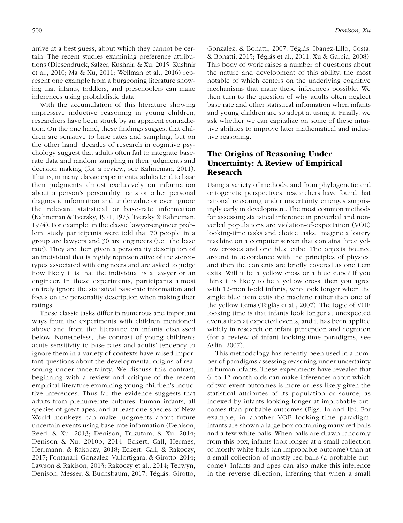arrive at a best guess, about which they cannot be certain. The recent studies examining preference attributions (Diesendruck, Salzer, Kushnir, & Xu, 2015; Kushnir et al., 2010; Ma & Xu, 2011; Wellman et al., 2016) represent one example from a burgeoning literature showing that infants, toddlers, and preschoolers can make inferences using probabilistic data.

With the accumulation of this literature showing impressive inductive reasoning in young children, researchers have been struck by an apparent contradiction. On the one hand, these findings suggest that children are sensitive to base rates and sampling, but on the other hand, decades of research in cognitive psychology suggest that adults often fail to integrate baserate data and random sampling in their judgments and decision making (for a review, see Kahneman, 2011). That is, in many classic experiments, adults tend to base their judgments almost exclusively on information about a person's personality traits or other personal diagnostic information and undervalue or even ignore the relevant statistical or base-rate information (Kahneman & Tversky, 1971, 1973; Tversky & Kahneman, 1974). For example, in the classic lawyer-engineer problem, study participants were told that 70 people in a group are lawyers and 30 are engineers (i.e., the base rate). They are then given a personality description of an individual that is highly representative of the stereotypes associated with engineers and are asked to judge how likely it is that the individual is a lawyer or an engineer. In these experiments, participants almost entirely ignore the statistical base-rate information and focus on the personality description when making their ratings.

These classic tasks differ in numerous and important ways from the experiments with children mentioned above and from the literature on infants discussed below. Nonetheless, the contrast of young children's acute sensitivity to base rates and adults' tendency to ignore them in a variety of contexts have raised important questions about the developmental origins of reasoning under uncertainty. We discuss this contrast, beginning with a review and critique of the recent empirical literature examining young children's inductive inferences. Thus far the evidence suggests that adults from prenumerate cultures, human infants, all species of great apes, and at least one species of New World monkeys can make judgments about future uncertain events using base-rate information (Denison, Reed, & Xu, 2013; Denison, Trikutam, & Xu, 2014; Denison & Xu, 2010b, 2014; Eckert, Call, Hermes, Herrmann, & Rakoczy, 2018; Eckert, Call, & Rakoczy, 2017; Fontanari, Gonzalez, Vallortigara, & Girotto, 2014; Lawson & Rakison, 2013; Rakoczy et al., 2014; Tecwyn, Denison, Messer, & Buchsbaum, 2017; Téglás, Girotto, Gonzalez, & Bonatti, 2007; Téglás, Ibanez-Lillo, Costa, & Bonatti, 2015; Téglás et al., 2011; Xu & Garcia, 2008). This body of work raises a number of questions about the nature and development of this ability, the most notable of which centers on the underlying cognitive mechanisms that make these inferences possible. We then turn to the question of why adults often neglect base rate and other statistical information when infants and young children are so adept at using it. Finally, we ask whether we can capitalize on some of these intuitive abilities to improve later mathematical and inductive reasoning.

# The Origins of Reasoning Under Uncertainty: A Review of Empirical Research

Using a variety of methods, and from phylogenetic and ontogenetic perspectives, researchers have found that rational reasoning under uncertainty emerges surprisingly early in development. The most common methods for assessing statistical inference in preverbal and nonverbal populations are violation-of-expectation (VOE) looking-time tasks and choice tasks. Imagine a lottery machine on a computer screen that contains three yellow crosses and one blue cube. The objects bounce around in accordance with the principles of physics, and then the contents are briefly covered as one item exits: Will it be a yellow cross or a blue cube? If you think it is likely to be a yellow cross, then you agree with 12-month-old infants, who look longer when the single blue item exits the machine rather than one of the yellow items (Téglás et al., 2007). The logic of VOE looking time is that infants look longer at unexpected events than at expected events, and it has been applied widely in research on infant perception and cognition (for a review of infant looking-time paradigms, see Aslin, 2007).

This methodology has recently been used in a number of paradigms assessing reasoning under uncertainty in human infants. These experiments have revealed that 6- to 12-month-olds can make inferences about which of two event outcomes is more or less likely given the statistical attributes of its population or source, as indexed by infants looking longer at improbable outcomes than probable outcomes (Figs. 1a and 1b). For example, in another VOE looking-time paradigm, infants are shown a large box containing many red balls and a few white balls. When balls are drawn randomly from this box, infants look longer at a small collection of mostly white balls (an improbable outcome) than at a small collection of mostly red balls (a probable outcome). Infants and apes can also make this inference in the reverse direction, inferring that when a small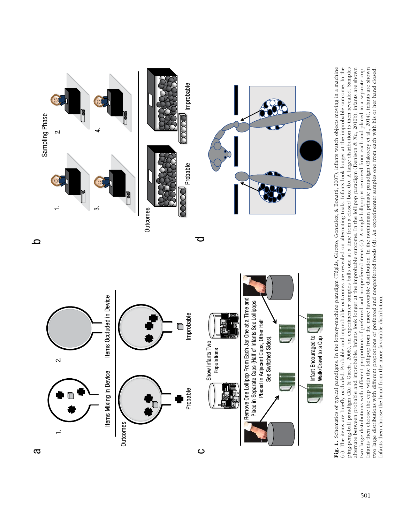

Fig. 1. Schematics of typical paradigms. In the lottery-machine paradigm (Téglás, Girotto, Gonzalez, & Bonatti, 2007), infants watch objects moving in a machine (a). The items are briefly occluded. Probable and improbable outcomes are revealed on alternating trials. Infants look longer at the improbable outcome. In the (a). The items are briefly occluded. Probable and improbable outcomes are revealed on alternating trials. Infants look longer at the improbable outcome. In the ping-pong-ball paradigm (Xu & Garcia, 2008), an experimenter samples balls one at a time from a closed box (b). A large distribution is then revealed. Samples alternate between probable and improbable. Infants look longer at the improbable outcome. In the lollipop paradigm (Denison & Xu, 2010b), infants are shown two large distributions with different proportions of preferred and nonpreferred items (c). A single lollipop is removed from each and placed in a separate cup. Infants then choose the cup with the lollipop from the more favorable distribution. In the nonhuman primate paradigm (Rakoczy et al., 2014), infants are shown two large distributions with different proportions of preferred and nonpreferred foods (d). An experimenter samples one from each with his or her hand closed. Fig. 1. Schematics of typical paradigms. In the lottery-machine paradigm (Téglás, Girotto, Gonzalez, & Bonatti, 2007), infants watch objects moving in a machine ping-pong-ball paradigm (Xu & Garcia, 2008), an experimenter samples balls one at a time from a closed box (b). A large distribution is then revealed. Samples alternate between probable and improbable. Infants look longer at the improbable outcome. In the lollipop paradigm (Denison & Xu, 2010b), infants are shown two large distributions with different proportions of preferred and nonpreferred items (c). A single lollipop is removed from each and placed in a separate cup.<br>Infants then choose the cup with the lollipop from the more f two large distributions with different proportions of preferred and nonpreferred foods (d). An experimenter samples one from each with his or her hand closed. infants then choose the hand from the more favorable distribution. Infants then choose the hand from the more favorable distribution.

501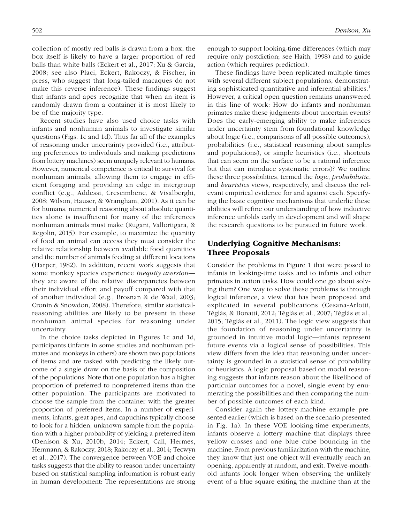collection of mostly red balls is drawn from a box, the box itself is likely to have a larger proportion of red balls than white balls (Eckert et al., 2017; Xu & Garcia, 2008; see also Placi, Eckert, Rakoczy, & Fischer, in press, who suggest that long-tailed macaques do not make this reverse inference). These findings suggest that infants and apes recognize that when an item is randomly drawn from a container it is most likely to be of the majority type.

Recent studies have also used choice tasks with infants and nonhuman animals to investigate similar questions (Figs. 1c and 1d). Thus far all of the examples of reasoning under uncertainty provided (i.e., attributing preferences to individuals and making predictions from lottery machines) seem uniquely relevant to humans. However, numerical competence is critical to survival for nonhuman animals, allowing them to engage in efficient foraging and providing an edge in intergroup conflict (e.g., Addessi, Crescimbene, & Visalberghi, 2008; Wilson, Hauser, & Wrangham, 2001). As it can be for humans, numerical reasoning about absolute quantities alone is insufficient for many of the inferences nonhuman animals must make (Rugani, Vallortigara, & Regolin, 2015). For example, to maximize the quantity of food an animal can access they must consider the relative relationship between available food quantities and the number of animals feeding at different locations (Harper, 1982). In addition, recent work suggests that some monkey species experience *inequity aversion* they are aware of the relative discrepancies between their individual effort and payoff compared with that of another individual (e.g., Brosnan & de Waal, 2003; Cronin & Snowdon, 2008). Therefore, similar statisticalreasoning abilities are likely to be present in these nonhuman animal species for reasoning under uncertainty.

In the choice tasks depicted in Figures 1c and 1d, participants (infants in some studies and nonhuman primates and monkeys in others) are shown two populations of items and are tasked with predicting the likely outcome of a single draw on the basis of the composition of the populations. Note that one population has a higher proportion of preferred to nonpreferred items than the other population. The participants are motivated to choose the sample from the container with the greater proportion of preferred items. In a number of experiments, infants, great apes, and capuchins typically choose to look for a hidden, unknown sample from the population with a higher probability of yielding a preferred item (Denison & Xu, 2010b, 2014; Eckert, Call, Hermes, Herrmann, & Rakoczy, 2018; Rakoczy et al., 2014; Tecwyn et al., 2017). The convergence between VOE and choice tasks suggests that the ability to reason under uncertainty based on statistical sampling information is robust early in human development: The representations are strong

502 *Denison, Xu*

enough to support looking-time differences (which may require only postdiction; see Haith, 1998) and to guide action (which requires prediction).

These findings have been replicated multiple times with several different subject populations, demonstrating sophisticated quantitative and inferential abilities.<sup>1</sup> However, a critical open question remains unanswered in this line of work: How do infants and nonhuman primates make these judgments about uncertain events? Does the early-emerging ability to make inferences under uncertainty stem from foundational knowledge about logic (i.e., comparisons of all possible outcomes), probabilities (i.e., statistical reasoning about samples and populations), or simple heuristics (i.e., shortcuts that can seem on the surface to be a rational inference but that can introduce systematic errors)? We outline these three possibilities, termed the *logic, probabilistic*, and *heuristics* views, respectively, and discuss the relevant empirical evidence for and against each. Specifying the basic cognitive mechanisms that underlie these abilities will refine our understanding of how inductive inference unfolds early in development and will shape the research questions to be pursued in future work.

## Underlying Cognitive Mechanisms: Three Proposals

Consider the problems in Figure 1 that were posed to infants in looking-time tasks and to infants and other primates in action tasks. How could one go about solving them? One way to solve these problems is through logical inference, a view that has been proposed and explicated in several publications (Cesana-Arlotti, Téglás, & Bonatti, 2012; Téglás et al., 2007; Téglás et al., 2015; Téglás et al., 2011). The logic view suggests that the foundation of reasoning under uncertainty is grounded in intuitive modal logic—infants represent future events via a logical sense of possibilities. This view differs from the idea that reasoning under uncertainty is grounded in a statistical sense of probability or heuristics. A logic proposal based on modal reasoning suggests that infants reason about the likelihood of particular outcomes for a novel, single event by enumerating the possibilities and then comparing the number of possible outcomes of each kind.

Consider again the lottery-machine example presented earlier (which is based on the scenario presented in Fig. 1a). In these VOE looking-time experiments, infants observe a lottery machine that displays three yellow crosses and one blue cube bouncing in the machine. From previous familiarization with the machine, they know that just one object will eventually reach an opening, apparently at random, and exit. Twelve-monthold infants look longer when observing the unlikely event of a blue square exiting the machine than at the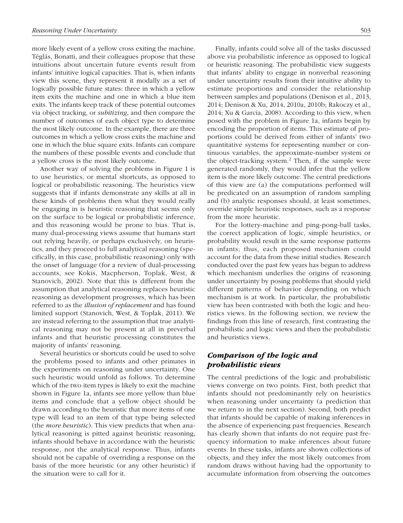more likely event of a yellow cross exiting the machine. Téglás, Bonatti, and their colleagues propose that these intuitions about uncertain future events result from infants' intuitive logical capacities. That is, when infants view this scene, they represent it modally as a set of logically possible future states: three in which a yellow item exits the machine and one in which a blue item exits. The infants keep track of these potential outcomes via object tracking, or *subitizing*, and then compare the number of outcomes of each object type to determine the most likely outcome. In the example, there are three outcomes in which a yellow cross exits the machine and one in which the blue square exits. Infants can compare the numbers of these possible events and conclude that a yellow cross is the most likely outcome.

Another way of solving the problems in Figure 1 is to use heuristics, or mental shortcuts, as opposed to logical or probabilistic reasoning. The heuristics view suggests that if infants demonstrate any skills at all in these kinds of problems then what they would really be engaging in is heuristic reasoning that seems only on the surface to be logical or probabilistic inference, and this reasoning would be prone to bias. That is, many dual-processing views assume that humans start out relying heavily, or perhaps exclusively, on heuristics, and they proceed to full analytical reasoning (specifically, in this case, probabilistic reasoning) only with the onset of language (for a review of dual-processing accounts, see Kokis, Macpherson, Toplak, West, & Stanovich, 2002). Note that this is different from the assumption that analytical reasoning replaces heuristic reasoning as development progresses, which has been referred to as the *illusion of replacement* and has found limited support (Stanovich, West, & Toplak, 2011). We are instead referring to the assumption that true analytical reasoning may not be present at all in preverbal infants and that heuristic processing constitutes the majority of infants' reasoning.

Several heuristics or shortcuts could be used to solve the problems posed to infants and other primates in the experiments on reasoning under uncertainty. One such heuristic would unfold as follows. To determine which of the two item types is likely to exit the machine shown in Figure 1a, infants see more yellow than blue items and conclude that a yellow object should be drawn according to the heuristic that more items of one type will lead to an item of that type being selected (the *more heuristic*). This view predicts that when analytical reasoning is pitted against heuristic reasoning, infants should behave in accordance with the heuristic response, not the analytical response. Thus, infants should not be capable of overriding a response on the basis of the more heuristic (or any other heuristic) if the situation were to call for it.

Finally, infants could solve all of the tasks discussed above via probabilistic inference as opposed to logical or heuristic reasoning. The probabilistic view suggests that infants' ability to engage in nonverbal reasoning under uncertainty results from their intuitive ability to estimate proportions and consider the relationship between samples and populations (Denison et al., 2013, 2014; Denison & Xu, 2014, 2010a, 2010b; Rakoczy et al., 2014; Xu & Garcia, 2008). According to this view, when posed with the problem in Figure 1a, infants begin by encoding the proportion of items. This estimate of proportions could be derived from either of infants' two quantitative systems for representing number or continuous variables, the approximate-number system or the object-tracking system. $<sup>2</sup>$  Then, if the sample were</sup> generated randomly, they would infer that the yellow item is the more likely outcome. The central predictions of this view are (a) the computations performed will be predicated on an assumption of random sampling and (b) analytic responses should, at least sometimes, override simple heuristic responses, such as a response from the more heuristic.

For the lottery-machine and ping-pong-ball tasks, the correct application of logic, simple heuristics, or probability would result in the same response patterns in infants; thus, each proposed mechanism could account for the data from these initial studies. Research conducted over the past few years has begun to address which mechanism underlies the origins of reasoning under uncertainty by posing problems that should yield different patterns of behavior depending on which mechanism is at work. In particular, the probabilistic view has been contrasted with both the logic and heuristics views. In the following section, we review the findings from this line of research, first contrasting the probabilistic and logic views and then the probabilistic and heuristics views.

## *Comparison of the logic and probabilistic views*

The central predictions of the logic and probabilistic views converge on two points. First, both predict that infants should not predominantly rely on heuristics when reasoning under uncertainty (a prediction that we return to in the next section). Second, both predict that infants should be capable of making inferences in the absence of experiencing past frequencies. Research has clearly shown that infants do not require past frequency information to make inferences about future events. In these tasks, infants are shown collections of objects, and they infer the most likely outcomes from random draws without having had the opportunity to accumulate information from observing the outcomes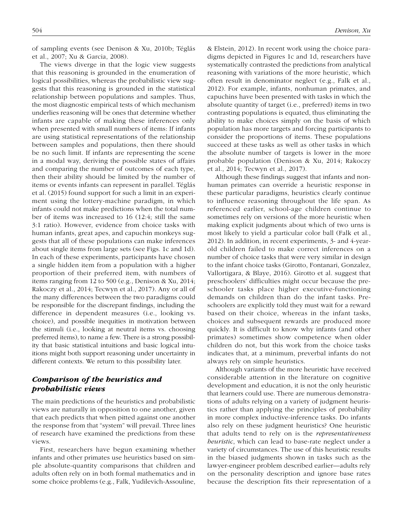of sampling events (see Denison & Xu, 2010b; Téglás et al., 2007; Xu & Garcia, 2008).

The views diverge in that the logic view suggests that this reasoning is grounded in the enumeration of logical possibilities, whereas the probabilistic view suggests that this reasoning is grounded in the statistical relationship between populations and samples. Thus, the most diagnostic empirical tests of which mechanism underlies reasoning will be ones that determine whether infants are capable of making these inferences only when presented with small numbers of items: If infants are using statistical representations of the relationship between samples and populations, then there should be no such limit. If infants are representing the scene in a modal way, deriving the possible states of affairs and comparing the number of outcomes of each type, then their ability should be limited by the number of items or events infants can represent in parallel. Téglás et al. (2015) found support for such a limit in an experiment using the lottery-machine paradigm, in which infants could not make predictions when the total number of items was increased to 16 (12:4; still the same 3:1 ratio). However, evidence from choice tasks with human infants, great apes, and capuchin monkeys suggests that all of these populations can make inferences about single items from large sets (see Figs. 1c and 1d). In each of these experiments, participants have chosen a single hidden item from a population with a higher proportion of their preferred item, with numbers of items ranging from 12 to 500 (e.g., Denison & Xu, 2014; Rakoczy et al., 2014; Tecwyn et al., 2017). Any or all of the many differences between the two paradigms could be responsible for the discrepant findings, including the difference in dependent measures (i.e., looking vs. choice), and possible inequities in motivation between the stimuli (i.e., looking at neutral items vs. choosing preferred items), to name a few. There is a strong possibility that basic statistical intuitions and basic logical intuitions might both support reasoning under uncertainty in different contexts. We return to this possibility later.

## *Comparison of the heuristics and probabilistic views*

The main predictions of the heuristics and probabilistic views are naturally in opposition to one another, given that each predicts that when pitted against one another the response from that "system" will prevail. Three lines of research have examined the predictions from these views.

First, researchers have begun examining whether infants and other primates use heuristics based on simple absolute-quantity comparisons that children and adults often rely on in both formal mathematics and in some choice problems (e.g., Falk, Yudilevich-Assouline, & Elstein, 2012). In recent work using the choice paradigms depicted in Figures 1c and 1d, researchers have systematically contrasted the predictions from analytical reasoning with variations of the more heuristic, which often result in denominator neglect (e.g., Falk et al., 2012). For example, infants, nonhuman primates, and capuchins have been presented with tasks in which the absolute quantity of target (i.e., preferred) items in two contrasting populations is equated, thus eliminating the ability to make choices simply on the basis of which population has more targets and forcing participants to consider the proportions of items. These populations succeed at these tasks as well as other tasks in which the absolute number of targets is lower in the more probable population (Denison & Xu, 2014; Rakoczy et al., 2014; Tecwyn et al., 2017).

Although these findings suggest that infants and nonhuman primates can override a heuristic response in these particular paradigms, heuristics clearly continue to influence reasoning throughout the life span. As referenced earlier, school-age children continue to sometimes rely on versions of the more heuristic when making explicit judgments about which of two urns is most likely to yield a particular color ball (Falk et al., 2012). In addition, in recent experiments, 3- and 4-yearold children failed to make correct inferences on a number of choice tasks that were very similar in design to the infant choice tasks (Girotto, Fontanari, Gonzalez, Vallortigara, & Blaye, 2016). Girotto et al. suggest that preschoolers' difficulties might occur because the preschooler tasks place higher executive-functioning demands on children than do the infant tasks. Preschoolers are explicitly told they must wait for a reward based on their choice, whereas in the infant tasks, choices and subsequent rewards are produced more quickly. It is difficult to know why infants (and other primates) sometimes show competence when older children do not, but this work from the choice tasks indicates that, at a minimum, preverbal infants do not always rely on simple heuristics.

Although variants of the more heuristic have received considerable attention in the literature on cognitive development and education, it is not the only heuristic that learners could use. There are numerous demonstrations of adults relying on a variety of judgment heuristics rather than applying the principles of probability in more complex inductive-inference tasks. Do infants also rely on these judgment heuristics? One heuristic that adults tend to rely on is the *representativeness heuristic*, which can lead to base-rate neglect under a variety of circumstances. The use of this heuristic results in the biased judgments shown in tasks such as the lawyer-engineer problem described earlier—adults rely on the personality description and ignore base rates because the description fits their representation of a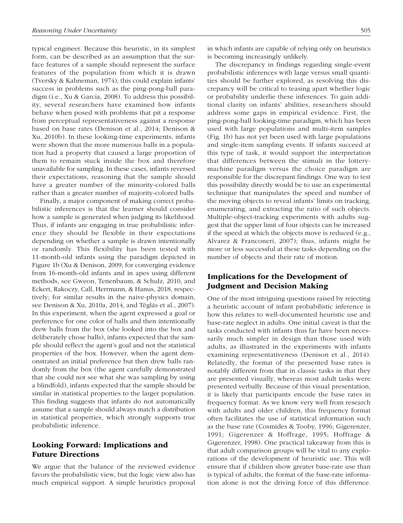typical engineer. Because this heuristic, in its simplest form, can be described as an assumption that the surface features of a sample should represent the surface features of the population from which it is drawn (Tversky & Kahneman, 1974), this could explain infants' success in problems such as the ping-pong-ball paradigm (i.e., Xu & Garcia, 2008). To address this possibility, several researchers have examined how infants behave when posed with problems that pit a response from perceptual representativeness against a response based on base rates (Denison et al., 2014; Denison & Xu, 2010b). In these looking-time experiments, infants were shown that the more numerous balls in a population had a property that caused a large proportion of them to remain stuck inside the box and therefore unavailable for sampling. In these cases, infants reversed their expectations, reasoning that the sample should have a greater number of the minority-colored balls rather than a greater number of majority-colored balls.

Finally, a major component of making correct probabilistic inferences is that the learner should consider how a sample is generated when judging its likelihood. Thus, if infants are engaging in true probabilistic inference they should be flexible in their expectations depending on whether a sample is drawn intentionally or randomly. This flexibility has been tested with 11-month-old infants using the paradigm depicted in Figure 1b (Xu & Denison, 2009; for converging evidence from 16-month-old infants and in apes using different methods, see Gweon, Tenenbaum, & Schulz, 2010, and Eckert, Rakoczy, Call, Herrmann, & Hanus, 2018, respectively; for similar results in the naive-physics domain, see Denison & Xu, 2010a, 2014, and Téglás et al., 2007). In this experiment, when the agent expressed a goal or preference for one color of balls and then intentionally drew balls from the box (she looked into the box and deliberately chose balls), infants expected that the sample should reflect the agent's goal and not the statistical properties of the box. However, when the agent demonstrated an initial preference but then drew balls randomly from the box (the agent carefully demonstrated that she could not see what she was sampling by using a blindfold), infants expected that the sample should be similar in statistical properties to the larger population. This finding suggests that infants do not automatically assume that a sample should always match a distribution in statistical properties, which strongly supports true probabilistic inference.

# Looking Forward: Implications and Future Directions

We argue that the balance of the reviewed evidence favors the probabilistic view, but the logic view also has much empirical support. A simple heuristics proposal in which infants are capable of relying only on heuristics is becoming increasingly unlikely.

The discrepancy in findings regarding single-event probabilistic inferences with large versus small quantities should be further explored, as resolving this discrepancy will be critical to teasing apart whether logic or probability underlie these inferences. To gain additional clarity on infants' abilities, researchers should address some gaps in empirical evidence. First, the ping-pong-ball looking-time paradigm, which has been used with large populations and multi-item samples (Fig. 1b) has not yet been used with large populations and single-item sampling events. If infants succeed at this type of task, it would support the interpretation that differences between the stimuli in the lotterymachine paradigm versus the choice paradigm are responsible for the discrepant findings. One way to test this possibility directly would be to use an experimental technique that manipulates the speed and number of the moving objects to reveal infants' limits on tracking, enumerating, and extracting the ratio of such objects. Multiple-object-tracking experiments with adults suggest that the upper limit of four objects can be increased if the speed at which the objects move is reduced (e.g., Alvarez & Franconeri, 2007); thus, infants might be more or less successful at these tasks depending on the number of objects and their rate of motion.

## Implications for the Development of Judgment and Decision Making

One of the most intriguing questions raised by rejecting a heuristic account of infant probabilistic inference is how this relates to well-documented heuristic use and base-rate neglect in adults. One initial caveat is that the tasks conducted with infants thus far have been necessarily much simpler in design than those used with adults, as illustrated in the experiments with infants examining representativeness (Denison et al., 2014). Relatedly, the format of the presented base rates is notably different from that in classic tasks in that they are presented visually, whereas most adult tasks were presented verbally. Because of this visual presentation, it is likely that participants encode the base rates in frequency format. As we know very well from research with adults and older children, this frequency format often facilitates the use of statistical information such as the base rate (Cosmides & Tooby, 1996; Gigerenzer, 1991; Gigerenzer & Hoffrage, 1995; Hoffrage & Gigerenzer, 1998). One practical takeaway from this is that adult comparison groups will be vital to any explorations of the development of heuristic use. This will ensure that if children show greater base-rate use than is typical of adults, the format of the base-rate information alone is not the driving force of this difference.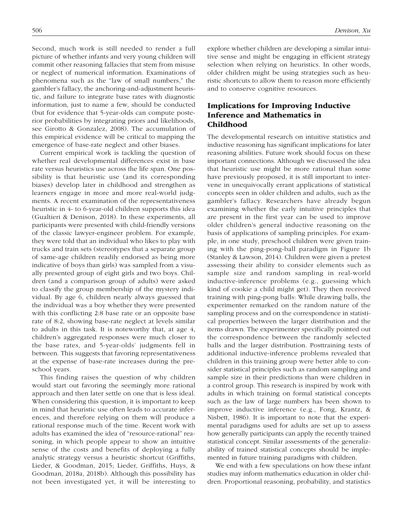Second, much work is still needed to render a full picture of whether infants and very young children will commit other reasoning fallacies that stem from misuse or neglect of numerical information. Examinations of phenomena such as the "law of small numbers," the gambler's fallacy, the anchoring-and-adjustment heuristic, and failure to integrate base rates with diagnostic information, just to name a few, should be conducted (but for evidence that 5-year-olds can compute posterior probabilities by integrating priors and likelihoods, see Girotto & Gonzalez, 2008). The accumulation of this empirical evidence will be critical to mapping the emergence of base-rate neglect and other biases.

Current empirical work is tackling the question of whether real developmental differences exist in base rate versus heuristics use across the life span. One possibility is that heuristic use (and its corresponding biases) develop later in childhood and strengthen as learners engage in more and more real-world judgments. A recent examination of the representativeness heuristic in 4- to 6-year-old children supports this idea (Gualtieri & Denison, 2018). In these experiments, all participants were presented with child-friendly versions of the classic lawyer-engineer problem. For example, they were told that an individual who likes to play with trucks and train sets (stereotypes that a separate group of same-age children readily endorsed as being more indicative of boys than girls) was sampled from a visually presented group of eight girls and two boys. Children (and a comparison group of adults) were asked to classify the group membership of the mystery individual. By age 6, children nearly always guessed that the individual was a boy whether they were presented with this conflicting 2:8 base rate or an opposite base rate of 8:2, showing base-rate neglect at levels similar to adults in this task. It is noteworthy that, at age 4, children's aggregated responses were much closer to the base rates, and 5-year-olds' judgments fell in between. This suggests that favoring representativeness at the expense of base-rate increases during the preschool years.

This finding raises the question of why children would start out favoring the seemingly more rational approach and then later settle on one that is less ideal. When considering this question, it is important to keep in mind that heuristic use often leads to accurate inferences, and therefore relying on them will produce a rational response much of the time. Recent work with adults has examined the idea of "resource-rational" reasoning, in which people appear to show an intuitive sense of the costs and benefits of deploying a fully analytic strategy versus a heuristic shortcut (Griffiths, Lieder, & Goodman, 2015; Lieder, Griffiths, Huys, & Goodman, 2018a, 2018b). Although this possibility has not been investigated yet, it will be interesting to explore whether children are developing a similar intuitive sense and might be engaging in efficient strategy selection when relying on heuristics. In other words, older children might be using strategies such as heuristic shortcuts to allow them to reason more efficiently and to conserve cognitive resources.

# Implications for Improving Inductive Inference and Mathematics in Childhood

The developmental research on intuitive statistics and inductive reasoning has significant implications for later reasoning abilities. Future work should focus on these important connections. Although we discussed the idea that heuristic use might be more rational than some have previously proposed, it is still important to intervene in unequivocally errant applications of statistical concepts seen in older children and adults, such as the gambler's fallacy. Researchers have already begun examining whether the early intuitive principles that are present in the first year can be used to improve older children's general inductive reasoning on the basis of applications of sampling principles. For example, in one study, preschool children were given training with the ping-pong-ball paradigm in Figure 1b (Stanley & Lawson, 2014). Children were given a pretest assessing their ability to consider elements such as sample size and random sampling in real-world inductive-inference problems (e.g., guessing which kind of cookie a child might get). They then received training with ping-pong balls: While drawing balls, the experimenter remarked on the random nature of the sampling process and on the correspondence in statistical properties between the larger distribution and the items drawn. The experimenter specifically pointed out the correspondence between the randomly selected balls and the larger distribution. Posttraining tests of additional inductive-inference problems revealed that children in this training group were better able to consider statistical principles such as random sampling and sample size in their predictions than were children in a control group. This research is inspired by work with adults in which training on formal statistical concepts such as the law of large numbers has been shown to improve inductive inference (e.g., Fong, Krantz, & Nisbett, 1986). It is important to note that the experimental paradigms used for adults are set up to assess how generally participants can apply the recently trained statistical concept. Similar assessments of the generalizability of trained statistical concepts should be implemented in future training paradigms with children.

We end with a few speculations on how these infant studies may inform mathematics education in older children. Proportional reasoning, probability, and statistics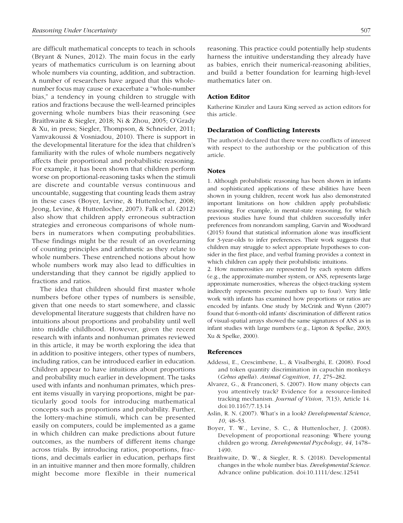are difficult mathematical concepts to teach in schools (Bryant & Nunes, 2012). The main focus in the early years of mathematics curriculum is on learning about whole numbers via counting, addition, and subtraction. A number of researchers have argued that this wholenumber focus may cause or exacerbate a "whole-number bias," a tendency in young children to struggle with ratios and fractions because the well-learned principles governing whole numbers bias their reasoning (see Braithwaite & Siegler, 2018; Ni & Zhou, 2005; O'Grady & Xu, in press; Siegler, Thompson, & Schneider, 2011; Vamvakoussi & Vosniadou, 2010). There is support in the developmental literature for the idea that children's familiarity with the rules of whole numbers negatively affects their proportional and probabilistic reasoning. For example, it has been shown that children perform worse on proportional-reasoning tasks when the stimuli are discrete and countable versus continuous and uncountable, suggesting that counting leads them astray in these cases (Boyer, Levine, & Huttenlocher, 2008; Jeong, Levine, & Huttenlocher, 2007). Falk et al. (2012) also show that children apply erroneous subtraction strategies and erroneous comparisons of whole numbers in numerators when computing probabilities. These findings might be the result of an overlearning of counting principles and arithmetic as they relate to whole numbers. These entrenched notions about how whole numbers work may also lead to difficulties in understanding that they cannot be rigidly applied to fractions and ratios.

The idea that children should first master whole numbers before other types of numbers is sensible, given that one needs to start somewhere, and classic developmental literature suggests that children have no intuitions about proportions and probability until well into middle childhood. However, given the recent research with infants and nonhuman primates reviewed in this article, it may be worth exploring the idea that in addition to positive integers, other types of numbers, including ratios, can be introduced earlier in education. Children appear to have intuitions about proportions and probability much earlier in development. The tasks used with infants and nonhuman primates, which present items visually in varying proportions, might be particularly good tools for introducing mathematical concepts such as proportions and probability. Further, the lottery-machine stimuli, which can be presented easily on computers, could be implemented as a game in which children can make predictions about future outcomes, as the numbers of different items change across trials. By introducing ratios, proportions, fractions, and decimals earlier in education, perhaps first in an intuitive manner and then more formally, children might become more flexible in their numerical reasoning. This practice could potentially help students harness the intuitive understanding they already have as babies, enrich their numerical-reasoning abilities, and build a better foundation for learning high-level mathematics later on.

#### Action Editor

Katherine Kinzler and Laura King served as action editors for this article.

#### Declaration of Conflicting Interests

The author(s) declared that there were no conflicts of interest with respect to the authorship or the publication of this article.

#### **Notes**

1. Although probabilistic reasoning has been shown in infants and sophisticated applications of these abilities have been shown in young children, recent work has also demonstrated important limitations on how children apply probabilistic reasoning. For example, in mental-state reasoning, for which previous studies have found that children successfully infer preferences from nonrandom sampling, Garvin and Woodward (2015) found that statistical information alone was insufficient for 3-year-olds to infer preferences. Their work suggests that children may struggle to select appropriate hypotheses to consider in the first place, and verbal framing provides a context in which children can apply their probabilistic intuitions.

2. How numerosities are represented by each system differs (e.g., the approximate-number system, or ANS, represents large approximate numerosities, whereas the object-tracking system indirectly represents precise numbers up to four). Very little work with infants has examined how proportions or ratios are encoded by infants. One study by McCrink and Wynn (2007) found that 6-month-old infants' discrimination of different ratios of visual-spatial arrays showed the same signatures of ANS as in infant studies with large numbers (e.g., Lipton & Spelke, 2003; Xu & Spelke, 2000).

#### References

- Addessi, E., Crescimbene, L., & Visalberghi, E. (2008). Food and token quantity discrimination in capuchin monkeys (*Cebus apella*). *Animal Cognition*, *11*, 275–282.
- Alvarez, G., & Franconeri, S. (2007). How many objects can you attentively track? Evidence for a resource-limited tracking mechanism. *Journal of Vision*, *7*(13), Article 14. doi:10.1167/7.13.14
- Aslin, R. N. (2007). What's in a look? *Developmental Science*, *10*, 48–53.
- Boyer, T. W., Levine, S. C., & Huttenlocher, J. (2008). Development of proportional reasoning: Where young children go wrong. *Developmental Psychology*, *44*, 1478– 1490.
- Braithwaite, D. W., & Siegler, R. S. (2018). Developmental changes in the whole number bias. *Developmental Science*. Advance online publication. doi:10.1111/desc.12541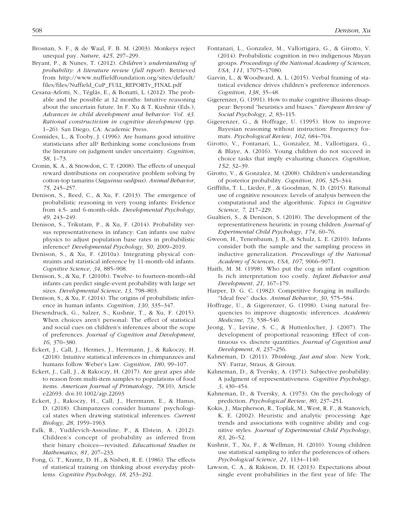- Brosnan, S. F., & de Waal, F. B. M. (2003). Monkeys reject unequal pay. *Nature*, *425*, 297–299.
- Bryant, P., & Nunes, T. (2012). *Children's understanding of probability: A literature review* (*full report*). Retrieved from [http://www.nuffieldfoundation.org/sites/default/](http://www.nuffieldfoundation.org/sites/default/files/files/Nuffield_CuP_FULL_REPORTv_FINAL.pdf) [files/files/Nuffield\\_CuP\\_FULL\\_REPORTv\\_FINAL.pdf](http://www.nuffieldfoundation.org/sites/default/files/files/Nuffield_CuP_FULL_REPORTv_FINAL.pdf)
- Cesana-Arlotti, N., Téglás, E., & Bonatti, L. (2012). The probable and the possible at 12 months: Intuitive reasoning about the uncertain future. In F. Xu & T. Kushnir (Eds.), *Advances in child development and behavior: Vol. 43. Rational constructivism in cognitive development* (pp. 1–26). San Diego, CA: Academic Press.
- Cosmides, L., & Tooby, J. (1996). Are humans good intuitive statisticians after all? Rethinking some conclusions from the literature on judgment under uncertainty. *Cognition*, *58*, 1–73.
- Cronin, K. A., & Snowdon, C. T. (2008). The effects of unequal reward distributions on cooperative problem solving by cotton-top tamarins (*Saguinus oedipus*). *Animal Behavior*, *75*, 245–257.
- Denison, S., Reed, C., & Xu, F. (2013). The emergence of probabilistic reasoning in very young infants: Evidence from 4.5- and 6-month-olds. *Developmental Psychology*, *49*, 243–249.
- Denison, S., Trikutam, P., & Xu, F. (2014). Probability versus representativeness in infancy: Can infants use naïve physics to adjust population base rates in probabilistic inference? *Developmental Psychology*, *50*, 2009–2019.
- Denison, S., & Xu, F. (2010a). Integrating physical constraints and statistical inference by 11-month-old infants. *Cognitive Science*, *34*, 885–908.
- Denison, S., & Xu, F. (2010b). Twelve- to fourteen-month-old infants can predict single-event probability with large set sizes. *Developmental Science*, *13*, 798–803.
- Denison, S., & Xu, F. (2014). The origins of probabilistic inference in human infants. *Cognition*, *130*, 335–347.
- Diesendruck, G., Salzer, S., Kushnir, T., & Xu, F. (2015). When choices aren't personal: The effect of statistical and social cues on children's inferences about the scope of preferences. *Journal of Cognition and Development*, *16*, 370–380.
- Eckert, J., Call, J., Hermes, J., Herrmann, J., & Rakoczy, H. (2018). Intuitive statistical inferences in chimpanzees and humans follow Weber's Law. *Cognition*, *180*, 99–107.
- Eckert, J., Call, J., & Rakoczy, H. (2017). Are great apes able to reason from multi-item samples to populations of food items. *American Journal of Primatology*, *79*(10), Article e22693. doi:10.1002/ajp.22693
- Eckert, J., Rakoczy, H., Call, J., Herrmann, E., & Hanus, D. (2018). Chimpanzees consider humans' psychological states when drawing statistical inferences. *Current Biology*, *28*, 1959–1963.
- Falk, R., Yudilevich-Assouline, P., & Elstein, A. (2012). Children's concept of probability as inferred from their binary choices—revisited. *Educational Studies in Mathematics*, *81*, 207–233.
- Fong, G. T., Krantz, D. H., & Nisbett, R. E. (1986). The effects of statistical training on thinking about everyday problems. *Cognitive Psychology*, *18*, 253–292.
- Fontanari, L., Gonzalez, M., Vallortigara, G., & Girotto, V. (2014). Probabilistic cognition in two indigenous Mayan groups. *Proceedings of the National Academy of Sciences*, *USA*, *111*, 17075–17080.
- Garvin, L., & Woodward, A. L. (2015). Verbal framing of statistical evidence drives children's preference inferences. *Cognition*, *138*, 35–48.
- Gigerenzer, G. (1991). How to make cognitive illusions disappear: Beyond "heuristics and biases." *European Review of Social Psychology*, *2*, 83–115.
- Gigerenzer, G., & Hoffrage, U. (1995). How to improve Bayesian reasoning without instruction: Frequency formats. *Psychological Review*, *102*, 684–704.
- Girotto, V., Fontanari, L., Gonzalez, M., Vallortigara, G., & Blaye, A. (2016). Young children do not succeed in choice tasks that imply evaluating chances. *Cognition*, *152*, 32–39.
- Girotto, V., & Gonzalez, M. (2008). Children's understanding of posterior probability. *Cognition*, *106*, 325–344.
- Griffiths, T. L., Lieder, F., & Goodman, N. D. (2015). Rational use of cognitive resources: Levels of analysis between the computational and the algorithmic. *Topics in Cognitive Science*, *7*, 217–229.
- Gualtieri, S., & Denison, S. (2018). The development of the representativeness heuristic in young children. *Journal of Experimental Child Psychology*, *174*, 60–76.
- Gweon, H., Tenenbaum, J. B., & Schulz, L. E. (2010). Infants consider both the sample and the sampling process in inductive generalization. *Proceedings of the National Academy of Sciences*, *USA*, *107*, 9066–9071.
- Haith, M. M. (1998). Who put the cog in infant cognition: Is rich interpretation too costly. *Infant Behavior and Development*, *21*, 167–179.
- Harper, D. G. C. (1982). Competitive foraging in mallards: "Ideal free" ducks. *Animal Behavior*, *30*, 575–584.
- Hoffrage, U., & Gigerenzer, G. (1998). Using natural frequencies to improve diagnostic inferences. *Academic Medicine*, *73*, 538–540.
- Jeong, Y., Levine, S. C., & Huttenlocher, J. (2007). The development of proportional reasoning: Effect of continuous vs. discrete quantities. *Journal of Cognition and Development*, *8*, 237–256.
- Kahneman, D. (2011). *Thinking, fast and slow*. New York, NY: Farrar, Straus, & Giroux.
- Kahneman, D., & Tversky, A. (1971). Subjective probability: A judgment of representativeness. *Cognitive Psychology*, *3*, 430–454.
- Kahneman, D., & Tversky, A. (1973). On the psychology of prediction. *Psychological Review*, *80*, 237–251.
- Kokis, J., Macpherson, R., Toplak, M., West, R. F., & Stanovich, K. E. (2002). Heuristic and analytic processing: Age trends and associations with cognitive ability and cognitive styles. *Journal of Experimental Child Psychology*, *83*, 26–52.
- Kushnir, T., Xu, F., & Wellman, H. (2010). Young children use statistical sampling to infer the preferences of others. *Psychological Science*, *21*, 1134–1140.
- Lawson, C. A., & Rakison, D. H. (2013). Expectations about single event probabilities in the first year of life: The